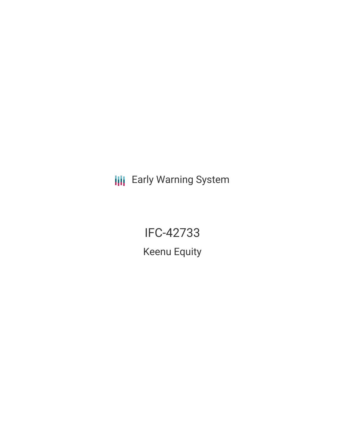**III** Early Warning System

IFC-42733 Keenu Equity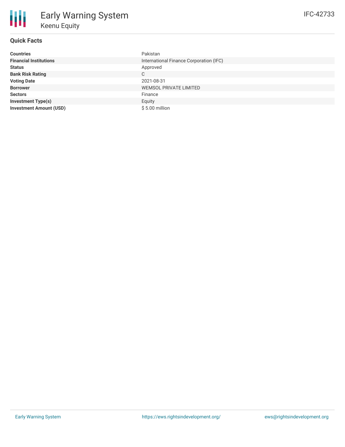| <b>Countries</b>               | Pakistan                                |
|--------------------------------|-----------------------------------------|
| <b>Financial Institutions</b>  | International Finance Corporation (IFC) |
| <b>Status</b>                  | Approved                                |
| <b>Bank Risk Rating</b>        | C                                       |
| <b>Voting Date</b>             | 2021-08-31                              |
| <b>Borrower</b>                | <b>WEMSOL PRIVATE LIMITED</b>           |
| <b>Sectors</b>                 | Finance                                 |
| <b>Investment Type(s)</b>      | Equity                                  |
| <b>Investment Amount (USD)</b> | $$5.00$ million                         |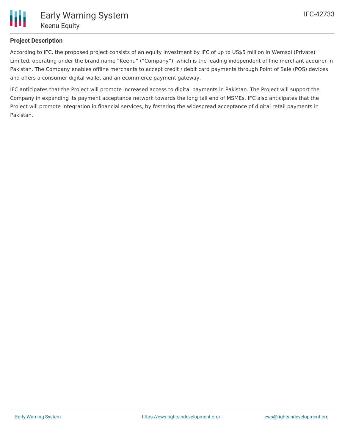

# **Project Description**

According to IFC, the proposed project consists of an equity investment by IFC of up to US\$5 million in Wemsol (Private) Limited, operating under the brand name "Keenu" ("Company"), which is the leading independent offline merchant acquirer in Pakistan. The Company enables offline merchants to accept credit / debit card payments through Point of Sale (POS) devices and offers a consumer digital wallet and an ecommerce payment gateway.

IFC anticipates that the Project will promote increased access to digital payments in Pakistan. The Project will support the Company in expanding its payment acceptance network towards the long tail end of MSMEs. IFC also anticipates that the Project will promote integration in financial services, by fostering the widespread acceptance of digital retail payments in Pakistan.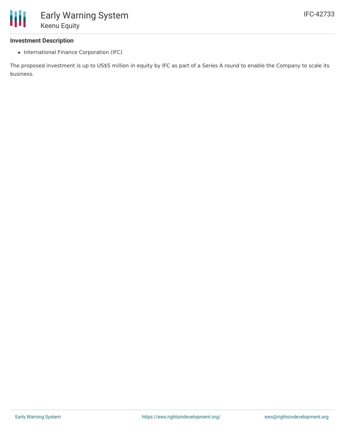#### **Investment Description**

• International Finance Corporation (IFC)

The proposed investment is up to US\$5 million in equity by IFC as part of a Series A round to enable the Company to scale its business.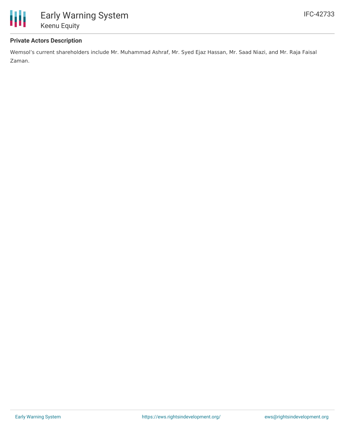

### **Private Actors Description**

Wemsol's current shareholders include Mr. Muhammad Ashraf, Mr. Syed Ejaz Hassan, Mr. Saad Niazi, and Mr. Raja Faisal Zaman.